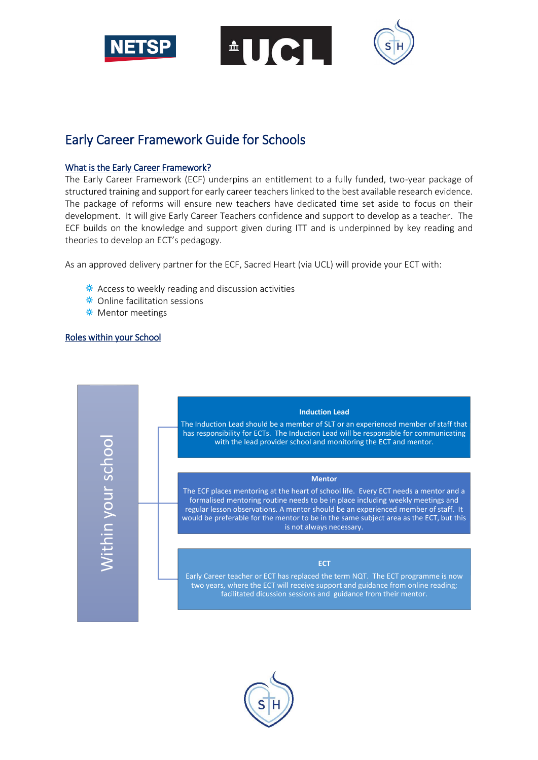

**AUCI** 

# Early Career Framework Guide for Schools

# What is the Early Career Framework?

The Early Career Framework (ECF) underpins an entitlement to a fully funded, two-year package of structured training and support for early career teachers linked to the best available research evidence. The package of reforms will ensure new teachers have dedicated time set aside to focus on their development. It will give Early Career Teachers confidence and support to develop as a teacher. The ECF builds on the knowledge and support given during ITT and is underpinned by key reading and theories to develop an ECT's pedagogy.

As an approved delivery partner for the ECF, Sacred Heart (via UCL) will provide your ECT with:

- $*$  Access to weekly reading and discussion activities
- **\*** Online facilitation sessions
- ¥ Mentor meetings

## Roles within your School

Within your school

Vithin your school

#### **Induction Lead**

The Induction Lead should be a member of SLT or an experienced member of staff that has responsibility for ECTs. The Induction Lead will be responsible for communicating with the lead provider school and monitoring the ECT and mentor.

#### **Mentor**

The ECF places mentoring at the heart of school life. Every ECT needs a mentor and a formalised mentoring routine needs to be in place including weekly meetings and regular lesson observations. A mentor should be an experienced member of staff. It would be preferable for the mentor to be in the same subject area as the ECT, but this is not always necessary.

#### **ECT**

Early Career teacher or ECT has replaced the term NQT. The ECT programme is now two years, where the ECT will receive support and guidance from online reading; facilitated dicussion sessions and guidance from their mentor.

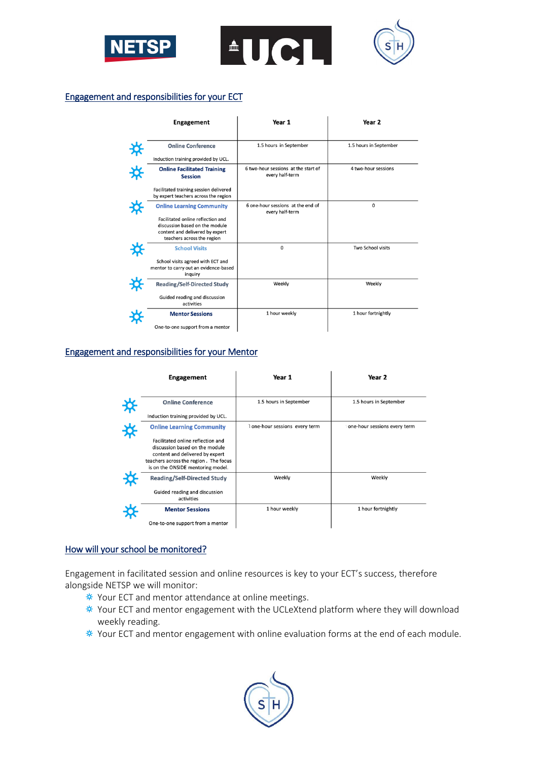

#### Engagement and responsibilities for your ECT

|     | <b>Engagement</b>                                                                                                                                                        | Year 1                                                 | Year <sub>2</sub>      |
|-----|--------------------------------------------------------------------------------------------------------------------------------------------------------------------------|--------------------------------------------------------|------------------------|
| * * | <b>Online Conference</b><br>Induction training provided by UCL.                                                                                                          | 1.5 hours in September                                 | 1.5 hours in September |
|     | <b>Online Facilitated Training</b><br><b>Session</b>                                                                                                                     | 6 two-hour sessions at the start of<br>every half-term | 4 two-hour sessions    |
|     | Facilitated training session delivered<br>by expert teachers across the region                                                                                           |                                                        |                        |
|     | <b>Online Learning Community</b><br>Facilitated online reflection and<br>discussion based on the module<br>content and delivered by expert<br>teachers across the region | 6 one-hour sessions at the end of<br>every half-term   | 0                      |
|     | <b>School Visits</b><br>School visits agreed with ECT and<br>mentor to carry out an evidence-based<br>inquiry                                                            | $\mathbf 0$                                            | Two School visits      |
|     | <b>Reading/Self-Directed Study</b><br>Guided reading and discussion<br>activities                                                                                        | Weekly                                                 | Weekly                 |
|     | <b>Mentor Sessions</b><br>One-to-one support from a mentor                                                                                                               | 1 hour weekly                                          | 1 hour fortnightly     |

# Engagement and responsibilities for your Mentor

| <b>Engagement</b>                                                                                                                                                                    | Year 1                       | Year 2                       |
|--------------------------------------------------------------------------------------------------------------------------------------------------------------------------------------|------------------------------|------------------------------|
| <b>Online Conference</b>                                                                                                                                                             | 1.5 hours in September       | 1.5 hours in September       |
| Induction training provided by UCL.                                                                                                                                                  |                              |                              |
| <b>Online Learning Community</b>                                                                                                                                                     | one-hour sessions every term | one-hour sessions every term |
| Facilitated online reflection and<br>discussion based on the module<br>content and delivered by expert<br>teachers across the region. The focus<br>is on the ONSIDE mentoring model. |                              |                              |
| <b>Reading/Self-Directed Study</b>                                                                                                                                                   | Weekly                       | Weekly                       |
| Guided reading and discussion<br>activities                                                                                                                                          |                              |                              |
| <b>Mentor Sessions</b>                                                                                                                                                               | 1 hour weekly                | 1 hour fortnightly           |
| One-to-one support from a mentor                                                                                                                                                     |                              |                              |

# How will your school be monitored?

Engagement in facilitated session and online resources is key to your ECT's success, therefore alongside NETSP we will monitor:

- $*$  Your ECT and mentor attendance at online meetings.
- $*$  Your ECT and mentor engagement with the UCLeXtend platform where they will download weekly reading.
- $*$  Your ECT and mentor engagement with online evaluation forms at the end of each module.